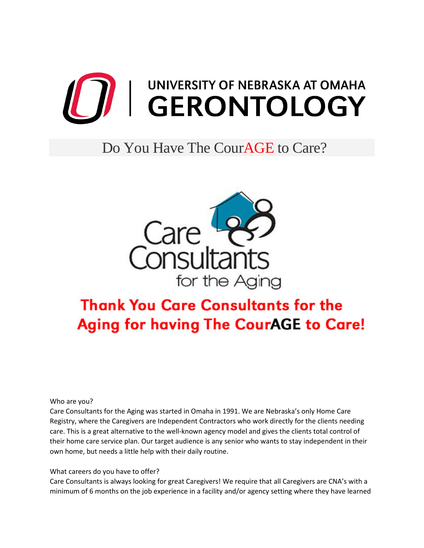

## Do You Have The CourAGE to Care?



## **Thank You Care Consultants for the Aging for having The CourAGE to Care!**

Who are you?

Care Consultants for the Aging was started in Omaha in 1991. We are Nebraska's only Home Care Registry, where the Caregivers are Independent Contractors who work directly for the clients needing care. This is a great alternative to the well-known agency model and gives the clients total control of their home care service plan. Our target audience is any senior who wants to stay independent in their own home, but needs a little help with their daily routine.

What careers do you have to offer?

Care Consultants is always looking for great Caregivers! We require that all Caregivers are CNA's with a minimum of 6 months on the job experience in a facility and/or agency setting where they have learned